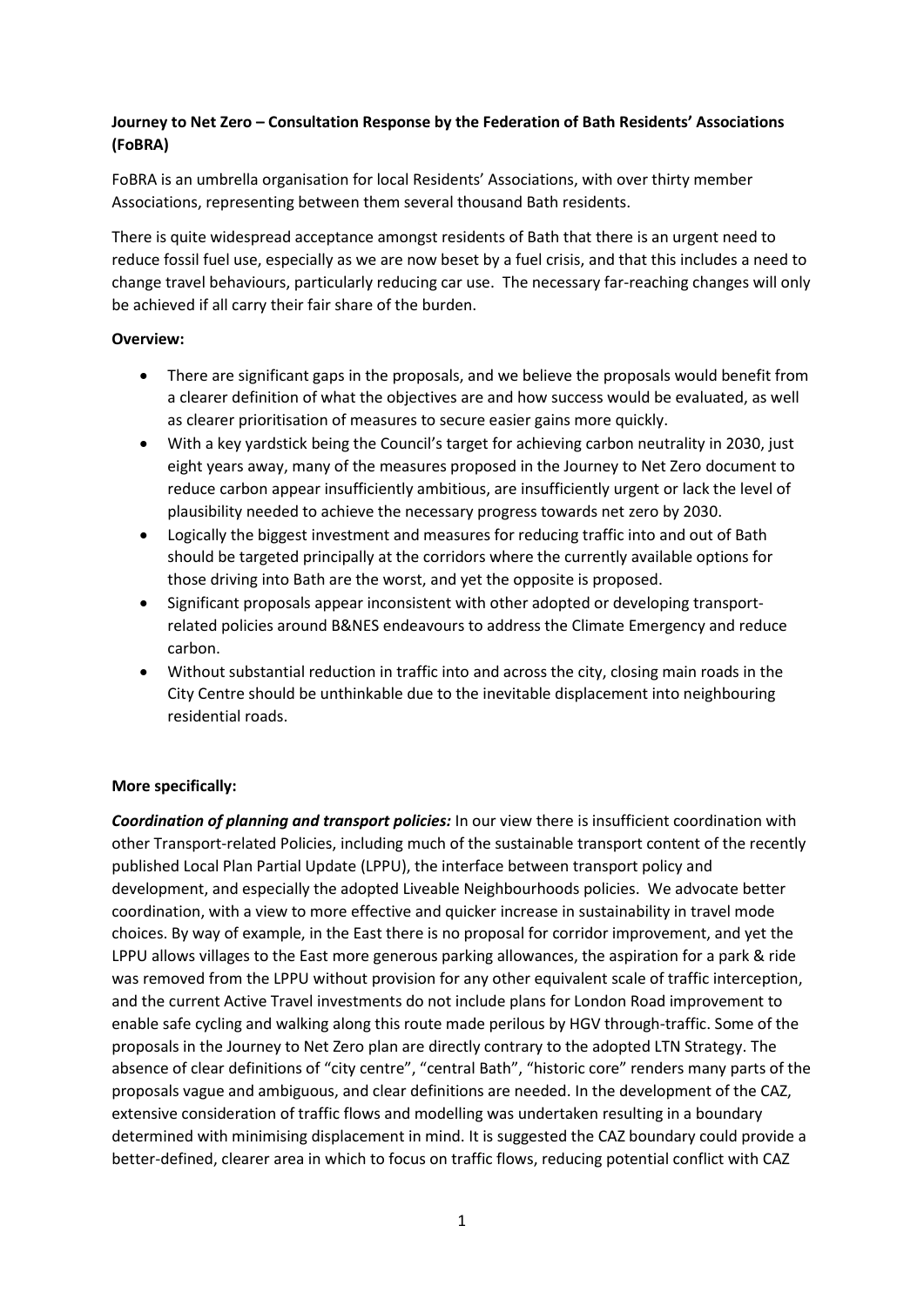## **Journey to Net Zero – Consultation Response by the Federation of Bath Residents' Associations (FoBRA)**

FoBRA is an umbrella organisation for local Residents' Associations, with over thirty member Associations, representing between them several thousand Bath residents.

There is quite widespread acceptance amongst residents of Bath that there is an urgent need to reduce fossil fuel use, especially as we are now beset by a fuel crisis, and that this includes a need to change travel behaviours, particularly reducing car use. The necessary far-reaching changes will only be achieved if all carry their fair share of the burden.

## **Overview:**

- There are significant gaps in the proposals, and we believe the proposals would benefit from a clearer definition of what the objectives are and how success would be evaluated, as well as clearer prioritisation of measures to secure easier gains more quickly.
- With a key yardstick being the Council's target for achieving carbon neutrality in 2030, just eight years away, many of the measures proposed in the Journey to Net Zero document to reduce carbon appear insufficiently ambitious, are insufficiently urgent or lack the level of plausibility needed to achieve the necessary progress towards net zero by 2030.
- Logically the biggest investment and measures for reducing traffic into and out of Bath should be targeted principally at the corridors where the currently available options for those driving into Bath are the worst, and yet the opposite is proposed.
- Significant proposals appear inconsistent with other adopted or developing transportrelated policies around B&NES endeavours to address the Climate Emergency and reduce carbon.
- Without substantial reduction in traffic into and across the city, closing main roads in the City Centre should be unthinkable due to the inevitable displacement into neighbouring residential roads.

## **More specifically:**

*Coordination of planning and transport policies:* In our view there is insufficient coordination with other Transport-related Policies, including much of the sustainable transport content of the recently published Local Plan Partial Update (LPPU), the interface between transport policy and development, and especially the adopted Liveable Neighbourhoods policies. We advocate better coordination, with a view to more effective and quicker increase in sustainability in travel mode choices. By way of example, in the East there is no proposal for corridor improvement, and yet the LPPU allows villages to the East more generous parking allowances, the aspiration for a park & ride was removed from the LPPU without provision for any other equivalent scale of traffic interception, and the current Active Travel investments do not include plans for London Road improvement to enable safe cycling and walking along this route made perilous by HGV through-traffic. Some of the proposals in the Journey to Net Zero plan are directly contrary to the adopted LTN Strategy. The absence of clear definitions of "city centre", "central Bath", "historic core" renders many parts of the proposals vague and ambiguous, and clear definitions are needed. In the development of the CAZ, extensive consideration of traffic flows and modelling was undertaken resulting in a boundary determined with minimising displacement in mind. It is suggested the CAZ boundary could provide a better-defined, clearer area in which to focus on traffic flows, reducing potential conflict with CAZ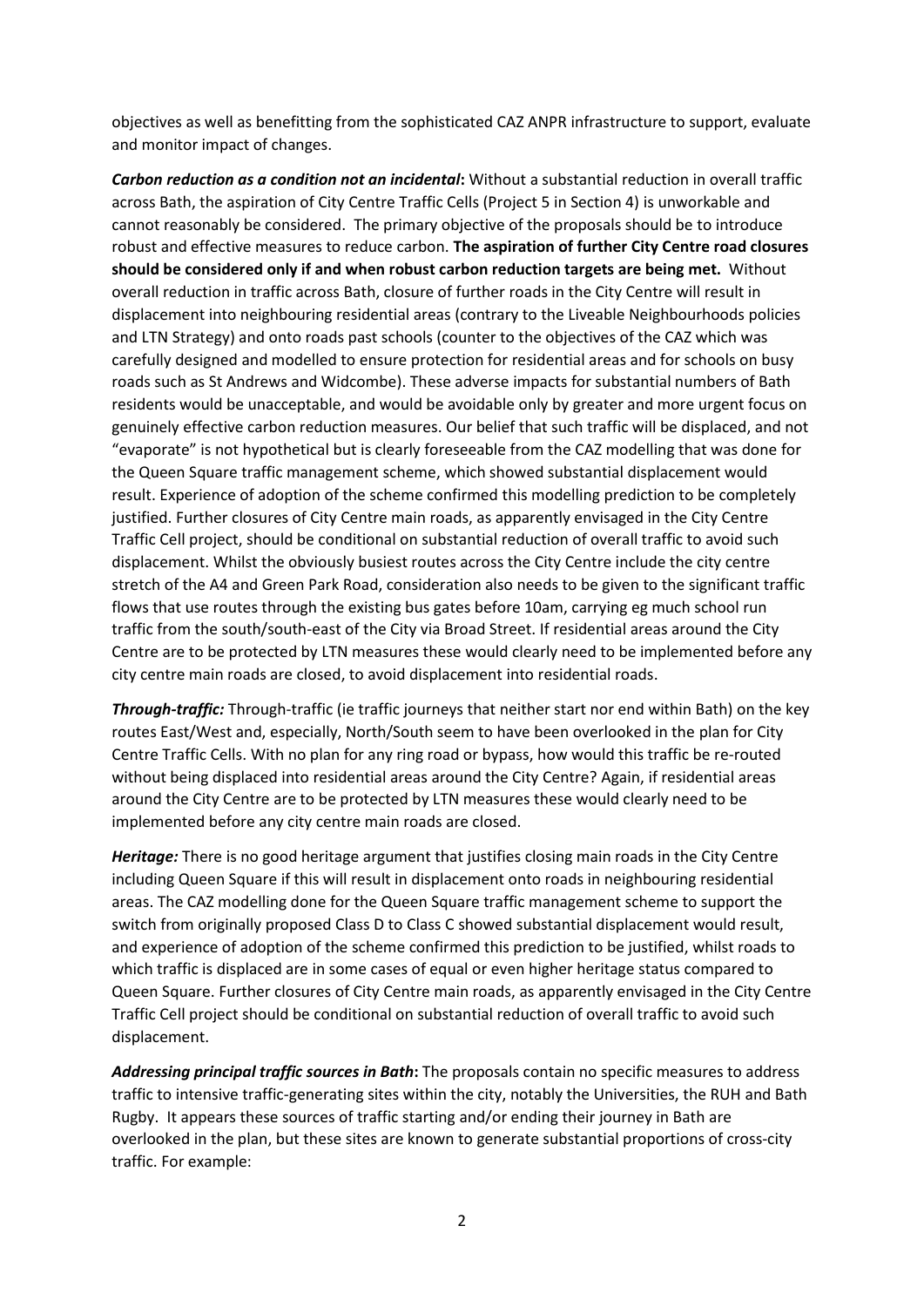objectives as well as benefitting from the sophisticated CAZ ANPR infrastructure to support, evaluate and monitor impact of changes.

*Carbon reduction as a condition not an incidental***:** Without a substantial reduction in overall traffic across Bath, the aspiration of City Centre Traffic Cells (Project 5 in Section 4) is unworkable and cannot reasonably be considered. The primary objective of the proposals should be to introduce robust and effective measures to reduce carbon. **The aspiration of further City Centre road closures should be considered only if and when robust carbon reduction targets are being met.** Without overall reduction in traffic across Bath, closure of further roads in the City Centre will result in displacement into neighbouring residential areas (contrary to the Liveable Neighbourhoods policies and LTN Strategy) and onto roads past schools (counter to the objectives of the CAZ which was carefully designed and modelled to ensure protection for residential areas and for schools on busy roads such as St Andrews and Widcombe). These adverse impacts for substantial numbers of Bath residents would be unacceptable, and would be avoidable only by greater and more urgent focus on genuinely effective carbon reduction measures. Our belief that such traffic will be displaced, and not "evaporate" is not hypothetical but is clearly foreseeable from the CAZ modelling that was done for the Queen Square traffic management scheme, which showed substantial displacement would result. Experience of adoption of the scheme confirmed this modelling prediction to be completely justified. Further closures of City Centre main roads, as apparently envisaged in the City Centre Traffic Cell project, should be conditional on substantial reduction of overall traffic to avoid such displacement. Whilst the obviously busiest routes across the City Centre include the city centre stretch of the A4 and Green Park Road, consideration also needs to be given to the significant traffic flows that use routes through the existing bus gates before 10am, carrying eg much school run traffic from the south/south-east of the City via Broad Street. If residential areas around the City Centre are to be protected by LTN measures these would clearly need to be implemented before any city centre main roads are closed, to avoid displacement into residential roads.

*Through-traffic:* Through-traffic (ie traffic journeys that neither start nor end within Bath) on the key routes East/West and, especially, North/South seem to have been overlooked in the plan for City Centre Traffic Cells. With no plan for any ring road or bypass, how would this traffic be re-routed without being displaced into residential areas around the City Centre? Again, if residential areas around the City Centre are to be protected by LTN measures these would clearly need to be implemented before any city centre main roads are closed.

*Heritage:* There is no good heritage argument that justifies closing main roads in the City Centre including Queen Square if this will result in displacement onto roads in neighbouring residential areas. The CAZ modelling done for the Queen Square traffic management scheme to support the switch from originally proposed Class D to Class C showed substantial displacement would result, and experience of adoption of the scheme confirmed this prediction to be justified, whilst roads to which traffic is displaced are in some cases of equal or even higher heritage status compared to Queen Square. Further closures of City Centre main roads, as apparently envisaged in the City Centre Traffic Cell project should be conditional on substantial reduction of overall traffic to avoid such displacement.

*Addressing principal traffic sources in Bath***:** The proposals contain no specific measures to address traffic to intensive traffic-generating sites within the city, notably the Universities, the RUH and Bath Rugby. It appears these sources of traffic starting and/or ending their journey in Bath are overlooked in the plan, but these sites are known to generate substantial proportions of cross-city traffic. For example: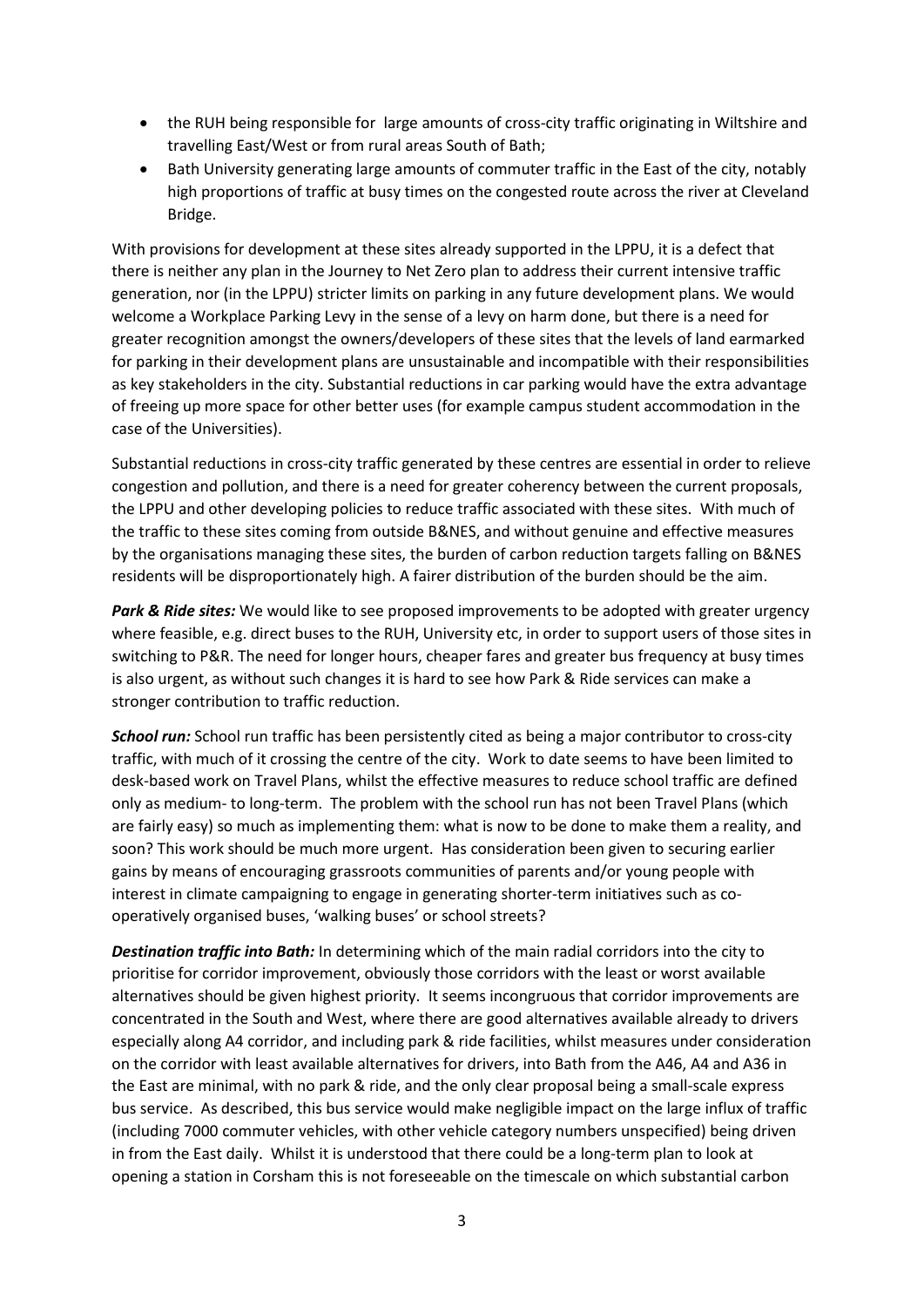- the RUH being responsible for large amounts of cross-city traffic originating in Wiltshire and travelling East/West or from rural areas South of Bath;
- Bath University generating large amounts of commuter traffic in the East of the city, notably high proportions of traffic at busy times on the congested route across the river at Cleveland Bridge.

With provisions for development at these sites already supported in the LPPU, it is a defect that there is neither any plan in the Journey to Net Zero plan to address their current intensive traffic generation, nor (in the LPPU) stricter limits on parking in any future development plans. We would welcome a Workplace Parking Levy in the sense of a levy on harm done, but there is a need for greater recognition amongst the owners/developers of these sites that the levels of land earmarked for parking in their development plans are unsustainable and incompatible with their responsibilities as key stakeholders in the city. Substantial reductions in car parking would have the extra advantage of freeing up more space for other better uses (for example campus student accommodation in the case of the Universities).

Substantial reductions in cross-city traffic generated by these centres are essential in order to relieve congestion and pollution, and there is a need for greater coherency between the current proposals, the LPPU and other developing policies to reduce traffic associated with these sites. With much of the traffic to these sites coming from outside B&NES, and without genuine and effective measures by the organisations managing these sites, the burden of carbon reduction targets falling on B&NES residents will be disproportionately high. A fairer distribution of the burden should be the aim.

**Park & Ride sites:** We would like to see proposed improvements to be adopted with greater urgency where feasible, e.g. direct buses to the RUH, University etc, in order to support users of those sites in switching to P&R. The need for longer hours, cheaper fares and greater bus frequency at busy times is also urgent, as without such changes it is hard to see how Park & Ride services can make a stronger contribution to traffic reduction.

*School run:* School run traffic has been persistently cited as being a major contributor to cross-city traffic, with much of it crossing the centre of the city. Work to date seems to have been limited to desk-based work on Travel Plans, whilst the effective measures to reduce school traffic are defined only as medium- to long-term. The problem with the school run has not been Travel Plans (which are fairly easy) so much as implementing them: what is now to be done to make them a reality, and soon? This work should be much more urgent. Has consideration been given to securing earlier gains by means of encouraging grassroots communities of parents and/or young people with interest in climate campaigning to engage in generating shorter-term initiatives such as cooperatively organised buses, 'walking buses' or school streets?

*Destination traffic into Bath:* In determining which of the main radial corridors into the city to prioritise for corridor improvement, obviously those corridors with the least or worst available alternatives should be given highest priority. It seems incongruous that corridor improvements are concentrated in the South and West, where there are good alternatives available already to drivers especially along A4 corridor, and including park & ride facilities, whilst measures under consideration on the corridor with least available alternatives for drivers, into Bath from the A46, A4 and A36 in the East are minimal, with no park & ride, and the only clear proposal being a small-scale express bus service. As described, this bus service would make negligible impact on the large influx of traffic (including 7000 commuter vehicles, with other vehicle category numbers unspecified) being driven in from the East daily. Whilst it is understood that there could be a long-term plan to look at opening a station in Corsham this is not foreseeable on the timescale on which substantial carbon